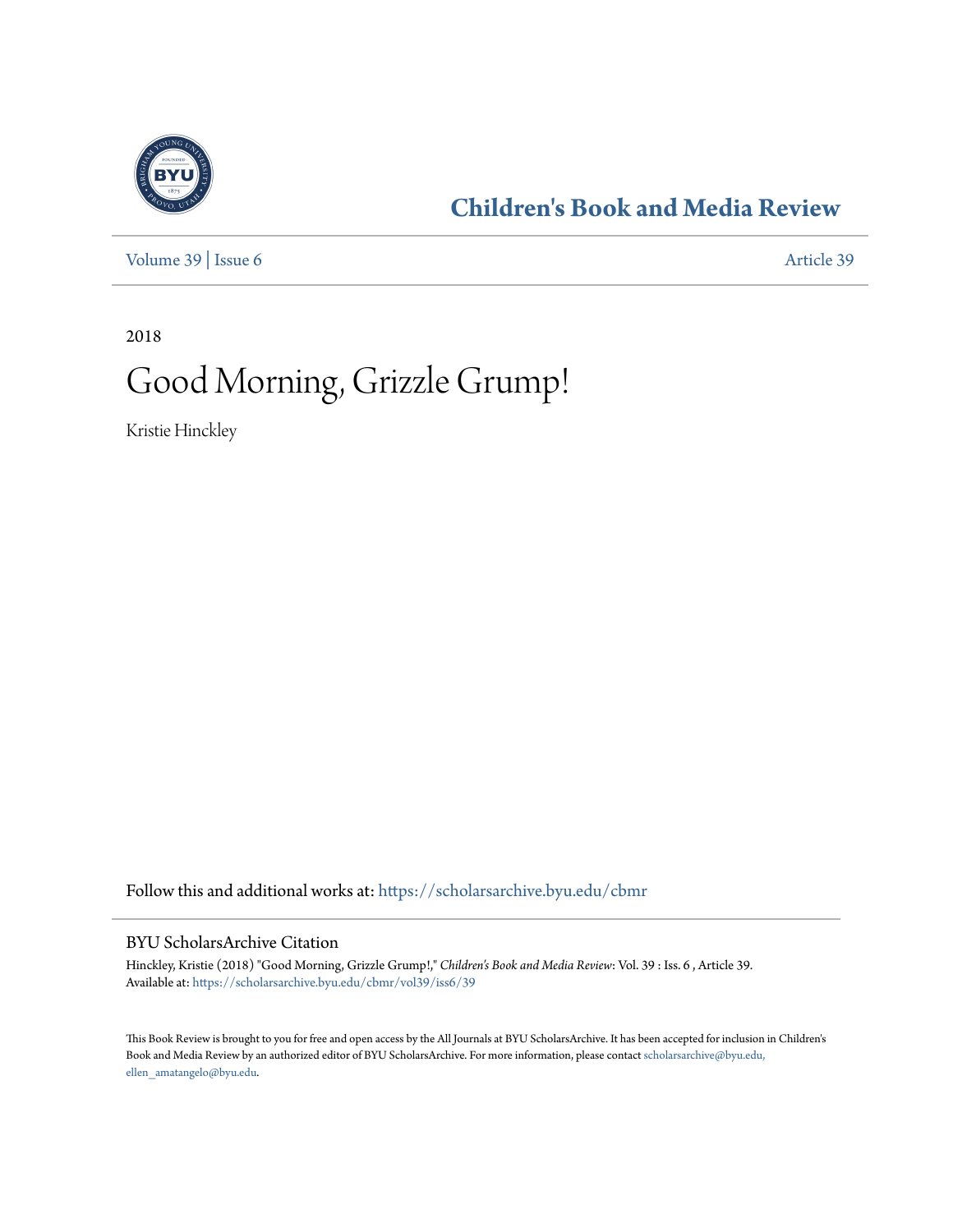

# **[Children's Book and Media Review](https://scholarsarchive.byu.edu/cbmr?utm_source=scholarsarchive.byu.edu%2Fcbmr%2Fvol39%2Fiss6%2F39&utm_medium=PDF&utm_campaign=PDFCoverPages)**

[Volume 39](https://scholarsarchive.byu.edu/cbmr/vol39?utm_source=scholarsarchive.byu.edu%2Fcbmr%2Fvol39%2Fiss6%2F39&utm_medium=PDF&utm_campaign=PDFCoverPages) | [Issue 6](https://scholarsarchive.byu.edu/cbmr/vol39/iss6?utm_source=scholarsarchive.byu.edu%2Fcbmr%2Fvol39%2Fiss6%2F39&utm_medium=PDF&utm_campaign=PDFCoverPages) [Article 39](https://scholarsarchive.byu.edu/cbmr/vol39/iss6/39?utm_source=scholarsarchive.byu.edu%2Fcbmr%2Fvol39%2Fiss6%2F39&utm_medium=PDF&utm_campaign=PDFCoverPages)

2018

# Good Morning, Grizzle Grump!

Kristie Hinckley

Follow this and additional works at: [https://scholarsarchive.byu.edu/cbmr](https://scholarsarchive.byu.edu/cbmr?utm_source=scholarsarchive.byu.edu%2Fcbmr%2Fvol39%2Fiss6%2F39&utm_medium=PDF&utm_campaign=PDFCoverPages)

### BYU ScholarsArchive Citation

Hinckley, Kristie (2018) "Good Morning, Grizzle Grump!," *Children's Book and Media Review*: Vol. 39 : Iss. 6 , Article 39. Available at: [https://scholarsarchive.byu.edu/cbmr/vol39/iss6/39](https://scholarsarchive.byu.edu/cbmr/vol39/iss6/39?utm_source=scholarsarchive.byu.edu%2Fcbmr%2Fvol39%2Fiss6%2F39&utm_medium=PDF&utm_campaign=PDFCoverPages)

This Book Review is brought to you for free and open access by the All Journals at BYU ScholarsArchive. It has been accepted for inclusion in Children's Book and Media Review by an authorized editor of BYU ScholarsArchive. For more information, please contact [scholarsarchive@byu.edu,](mailto:scholarsarchive@byu.edu,%20ellen_amatangelo@byu.edu) [ellen\\_amatangelo@byu.edu.](mailto:scholarsarchive@byu.edu,%20ellen_amatangelo@byu.edu)